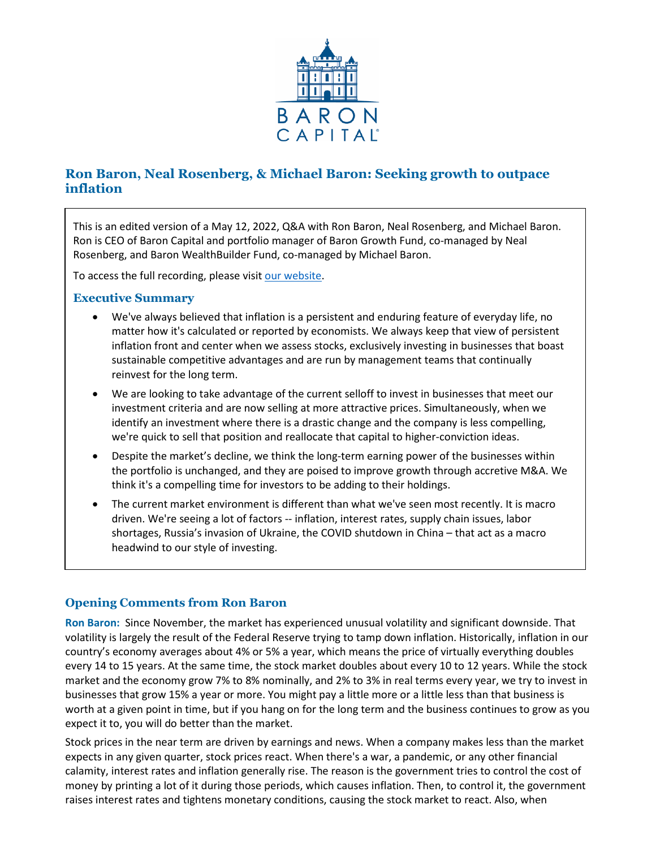

# **Ron Baron, Neal Rosenberg, & Michael Baron: Seeking growth to outpace inflation**

This is an edited version of a May 12, 2022, Q&A with Ron Baron, Neal Rosenberg, and Michael Baron. Ron is CEO of Baron Capital and portfolio manager of Baron Growth Fund, co-managed by Neal Rosenberg, and Baron WealthBuilder Fund, co-managed by Michael Baron.

To access the full recording, please visit [our website.](https://www.baronfunds.com/insights/conference-calls)

## **Executive Summary**

- We've always believed that inflation is a persistent and enduring feature of everyday life, no matter how it's calculated or reported by economists. We always keep that view of persistent inflation front and center when we assess stocks, exclusively investing in businesses that boast sustainable competitive advantages and are run by management teams that continually reinvest for the long term.
- We are looking to take advantage of the current selloff to invest in businesses that meet our investment criteria and are now selling at more attractive prices. Simultaneously, when we identify an investment where there is a drastic change and the company is less compelling, we're quick to sell that position and reallocate that capital to higher-conviction ideas.
- Despite the market's decline, we think the long-term earning power of the businesses within the portfolio is unchanged, and they are poised to improve growth through accretive M&A. We think it's a compelling time for investors to be adding to their holdings.
- The current market environment is different than what we've seen most recently. It is macro driven. We're seeing a lot of factors -- inflation, interest rates, supply chain issues, labor shortages, Russia's invasion of Ukraine, the COVID shutdown in China – that act as a macro headwind to our style of investing.

# **Opening Comments from Ron Baron**

**Ron Baron:** Since November, the market has experienced unusual volatility and significant downside. That volatility is largely the result of the Federal Reserve trying to tamp down inflation. Historically, inflation in our country's economy averages about 4% or 5% a year, which means the price of virtually everything doubles every 14 to 15 years. At the same time, the stock market doubles about every 10 to 12 years. While the stock market and the economy grow 7% to 8% nominally, and 2% to 3% in real terms every year, we try to invest in businesses that grow 15% a year or more. You might pay a little more or a little less than that business is worth at a given point in time, but if you hang on for the long term and the business continues to grow as you expect it to, you will do better than the market.

Stock prices in the near term are driven by earnings and news. When a company makes less than the market expects in any given quarter, stock prices react. When there's a war, a pandemic, or any other financial calamity, interest rates and inflation generally rise. The reason is the government tries to control the cost of money by printing a lot of it during those periods, which causes inflation. Then, to control it, the government raises interest rates and tightens monetary conditions, causing the stock market to react. Also, when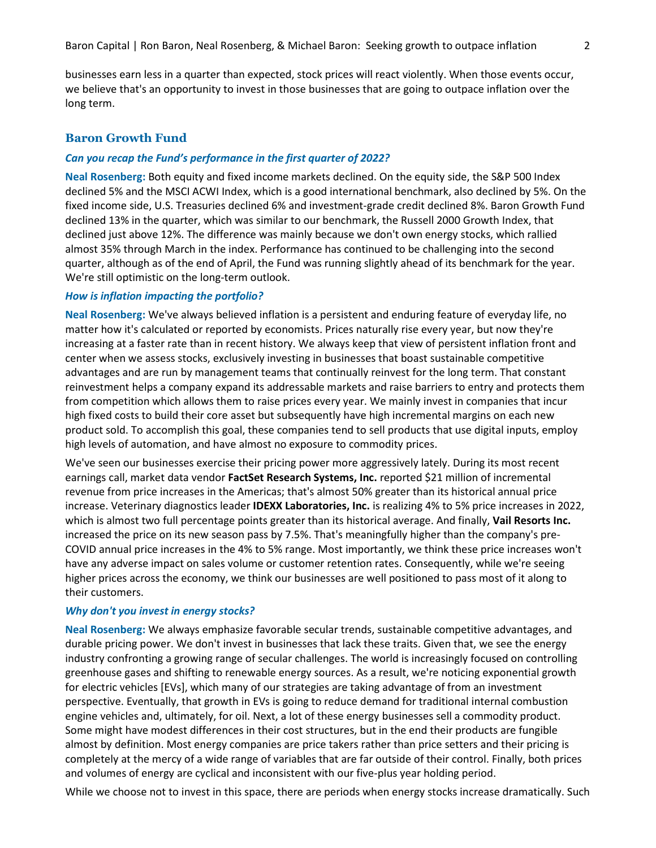businesses earn less in a quarter than expected, stock prices will react violently. When those events occur, we believe that's an opportunity to invest in those businesses that are going to outpace inflation over the long term.

## **Baron Growth Fund**

#### *Can you recap the Fund's performance in the first quarter of 2022?*

**Neal Rosenberg:** Both equity and fixed income markets declined. On the equity side, the S&P 500 Index declined 5% and the MSCI ACWI Index, which is a good international benchmark, also declined by 5%. On the fixed income side, U.S. Treasuries declined 6% and investment-grade credit declined 8%. Baron Growth Fund declined 13% in the quarter, which was similar to our benchmark, the Russell 2000 Growth Index, that declined just above 12%. The difference was mainly because we don't own energy stocks, which rallied almost 35% through March in the index. Performance has continued to be challenging into the second quarter, although as of the end of April, the Fund was running slightly ahead of its benchmark for the year. We're still optimistic on the long-term outlook.

#### *How is inflation impacting the portfolio?*

**Neal Rosenberg:** We've always believed inflation is a persistent and enduring feature of everyday life, no matter how it's calculated or reported by economists. Prices naturally rise every year, but now they're increasing at a faster rate than in recent history. We always keep that view of persistent inflation front and center when we assess stocks, exclusively investing in businesses that boast sustainable competitive advantages and are run by management teams that continually reinvest for the long term. That constant reinvestment helps a company expand its addressable markets and raise barriers to entry and protects them from competition which allows them to raise prices every year. We mainly invest in companies that incur high fixed costs to build their core asset but subsequently have high incremental margins on each new product sold. To accomplish this goal, these companies tend to sell products that use digital inputs, employ high levels of automation, and have almost no exposure to commodity prices.

We've seen our businesses exercise their pricing power more aggressively lately. During its most recent earnings call, market data vendor **FactSet Research Systems, Inc.** reported \$21 million of incremental revenue from price increases in the Americas; that's almost 50% greater than its historical annual price increase. Veterinary diagnostics leader **IDEXX Laboratories, Inc.** is realizing 4% to 5% price increases in 2022, which is almost two full percentage points greater than its historical average. And finally, **Vail Resorts Inc.** increased the price on its new season pass by 7.5%. That's meaningfully higher than the company's pre-COVID annual price increases in the 4% to 5% range. Most importantly, we think these price increases won't have any adverse impact on sales volume or customer retention rates. Consequently, while we're seeing higher prices across the economy, we think our businesses are well positioned to pass most of it along to their customers.

#### *Why don't you invest in energy stocks?*

**Neal Rosenberg:** We always emphasize favorable secular trends, sustainable competitive advantages, and durable pricing power. We don't invest in businesses that lack these traits. Given that, we see the energy industry confronting a growing range of secular challenges. The world is increasingly focused on controlling greenhouse gases and shifting to renewable energy sources. As a result, we're noticing exponential growth for electric vehicles [EVs], which many of our strategies are taking advantage of from an investment perspective. Eventually, that growth in EVs is going to reduce demand for traditional internal combustion engine vehicles and, ultimately, for oil. Next, a lot of these energy businesses sell a commodity product. Some might have modest differences in their cost structures, but in the end their products are fungible almost by definition. Most energy companies are price takers rather than price setters and their pricing is completely at the mercy of a wide range of variables that are far outside of their control. Finally, both prices and volumes of energy are cyclical and inconsistent with our five-plus year holding period.

While we choose not to invest in this space, there are periods when energy stocks increase dramatically. Such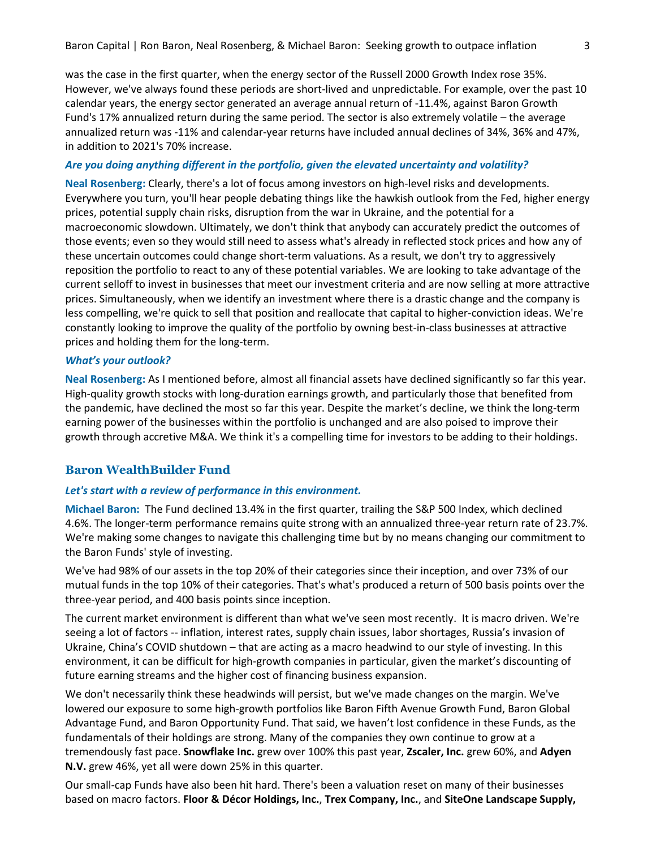was the case in the first quarter, when the energy sector of the Russell 2000 Growth Index rose 35%. However, we've always found these periods are short-lived and unpredictable. For example, over the past 10 calendar years, the energy sector generated an average annual return of -11.4%, against Baron Growth Fund's 17% annualized return during the same period. The sector is also extremely volatile – the average annualized return was -11% and calendar-year returns have included annual declines of 34%, 36% and 47%, in addition to 2021's 70% increase.

### *Are you doing anything different in the portfolio, given the elevated uncertainty and volatility?*

**Neal Rosenberg:** Clearly, there's a lot of focus among investors on high-level risks and developments. Everywhere you turn, you'll hear people debating things like the hawkish outlook from the Fed, higher energy prices, potential supply chain risks, disruption from the war in Ukraine, and the potential for a macroeconomic slowdown. Ultimately, we don't think that anybody can accurately predict the outcomes of those events; even so they would still need to assess what's already in reflected stock prices and how any of these uncertain outcomes could change short-term valuations. As a result, we don't try to aggressively reposition the portfolio to react to any of these potential variables. We are looking to take advantage of the current selloff to invest in businesses that meet our investment criteria and are now selling at more attractive prices. Simultaneously, when we identify an investment where there is a drastic change and the company is less compelling, we're quick to sell that position and reallocate that capital to higher-conviction ideas. We're constantly looking to improve the quality of the portfolio by owning best-in-class businesses at attractive prices and holding them for the long-term.

### *What's your outlook?*

**Neal Rosenberg:** As I mentioned before, almost all financial assets have declined significantly so far this year. High-quality growth stocks with long-duration earnings growth, and particularly those that benefited from the pandemic, have declined the most so far this year. Despite the market's decline, we think the long-term earning power of the businesses within the portfolio is unchanged and are also poised to improve their growth through accretive M&A. We think it's a compelling time for investors to be adding to their holdings.

# **Baron WealthBuilder Fund**

## *Let's start with a review of performance in this environment.*

**Michael Baron:** The Fund declined 13.4% in the first quarter, trailing the S&P 500 Index, which declined 4.6%. The longer-term performance remains quite strong with an annualized three-year return rate of 23.7%. We're making some changes to navigate this challenging time but by no means changing our commitment to the Baron Funds' style of investing.

We've had 98% of our assets in the top 20% of their categories since their inception, and over 73% of our mutual funds in the top 10% of their categories. That's what's produced a return of 500 basis points over the three-year period, and 400 basis points since inception.

The current market environment is different than what we've seen most recently. It is macro driven. We're seeing a lot of factors -- inflation, interest rates, supply chain issues, labor shortages, Russia's invasion of Ukraine, China's COVID shutdown – that are acting as a macro headwind to our style of investing. In this environment, it can be difficult for high-growth companies in particular, given the market's discounting of future earning streams and the higher cost of financing business expansion.

We don't necessarily think these headwinds will persist, but we've made changes on the margin. We've lowered our exposure to some high-growth portfolios like Baron Fifth Avenue Growth Fund, Baron Global Advantage Fund, and Baron Opportunity Fund. That said, we haven't lost confidence in these Funds, as the fundamentals of their holdings are strong. Many of the companies they own continue to grow at a tremendously fast pace. **Snowflake Inc.** grew over 100% this past year, **Zscaler, Inc.** grew 60%, and **Adyen N.V.** grew 46%, yet all were down 25% in this quarter.

Our small-cap Funds have also been hit hard. There's been a valuation reset on many of their businesses based on macro factors. **Floor & Décor Holdings, Inc.**, **Trex Company, Inc.**, and **SiteOne Landscape Supply,**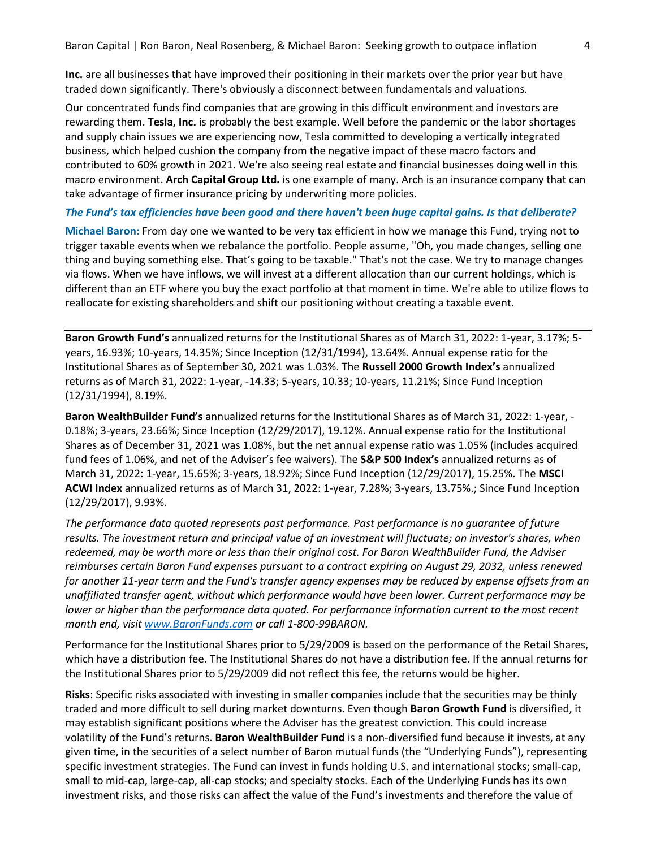Baron Capital | Ron Baron, Neal Rosenberg, & Michael Baron: Seeking growth to outpace inflation 4

**Inc.** are all businesses that have improved their positioning in their markets over the prior year but have traded down significantly. There's obviously a disconnect between fundamentals and valuations.

Our concentrated funds find companies that are growing in this difficult environment and investors are rewarding them. **Tesla, Inc.** is probably the best example. Well before the pandemic or the labor shortages and supply chain issues we are experiencing now, Tesla committed to developing a vertically integrated business, which helped cushion the company from the negative impact of these macro factors and contributed to 60% growth in 2021. We're also seeing real estate and financial businesses doing well in this macro environment. **Arch Capital Group Ltd.** is one example of many. Arch is an insurance company that can take advantage of firmer insurance pricing by underwriting more policies.

### *The Fund's tax efficiencies have been good and there haven't been huge capital gains. Is that deliberate?*

**Michael Baron:** From day one we wanted to be very tax efficient in how we manage this Fund, trying not to trigger taxable events when we rebalance the portfolio. People assume, "Oh, you made changes, selling one thing and buying something else. That's going to be taxable." That's not the case. We try to manage changes via flows. When we have inflows, we will invest at a different allocation than our current holdings, which is different than an ETF where you buy the exact portfolio at that moment in time. We're able to utilize flows to reallocate for existing shareholders and shift our positioning without creating a taxable event.

**Baron Growth Fund's** annualized returns for the Institutional Shares as of March 31, 2022: 1-year, 3.17%; 5 years, 16.93%; 10-years, 14.35%; Since Inception (12/31/1994), 13.64%. Annual expense ratio for the Institutional Shares as of September 30, 2021 was 1.03%. The **Russell 2000 Growth Index's** annualized returns as of March 31, 2022: 1-year, -14.33; 5-years, 10.33; 10-years, 11.21%; Since Fund Inception (12/31/1994), 8.19%.

**Baron WealthBuilder Fund's** annualized returns for the Institutional Shares as of March 31, 2022: 1-year, - 0.18%; 3-years, 23.66%; Since Inception (12/29/2017), 19.12%. Annual expense ratio for the Institutional Shares as of December 31, 2021 was 1.08%, but the net annual expense ratio was 1.05% (includes acquired fund fees of 1.06%, and net of the Adviser's fee waivers). The **S&P 500 Index's** annualized returns as of March 31, 2022: 1-year, 15.65%; 3-years, 18.92%; Since Fund Inception (12/29/2017), 15.25%. The **MSCI ACWI Index** annualized returns as of March 31, 2022: 1-year, 7.28%; 3-years, 13.75%.; Since Fund Inception (12/29/2017), 9.93%.

*The performance data quoted represents past performance. Past performance is no guarantee of future results. The investment return and principal value of an investment will fluctuate; an investor's shares, when redeemed, may be worth more or less than their original cost. For Baron WealthBuilder Fund, the Adviser reimburses certain Baron Fund expenses pursuant to a contract expiring on August 29, 2032, unless renewed for another 11-year term and the Fund's transfer agency expenses may be reduced by expense offsets from an unaffiliated transfer agent, without which performance would have been lower. Current performance may be lower or higher than the performance data quoted. For performance information current to the most recent month end, visit [www.BaronFunds.com](http://www.baronfunds.com/) or call 1-800-99BARON.*

Performance for the Institutional Shares prior to 5/29/2009 is based on the performance of the Retail Shares, which have a distribution fee. The Institutional Shares do not have a distribution fee. If the annual returns for the Institutional Shares prior to 5/29/2009 did not reflect this fee, the returns would be higher.

**Risks**: Specific risks associated with investing in smaller companies include that the securities may be thinly traded and more difficult to sell during market downturns. Even though **Baron Growth Fund** is diversified, it may establish significant positions where the Adviser has the greatest conviction. This could increase volatility of the Fund's returns. **Baron WealthBuilder Fund** is a non-diversified fund because it invests, at any given time, in the securities of a select number of Baron mutual funds (the "Underlying Funds"), representing specific investment strategies. The Fund can invest in funds holding U.S. and international stocks; small-cap, small to mid-cap, large-cap, all-cap stocks; and specialty stocks. Each of the Underlying Funds has its own investment risks, and those risks can affect the value of the Fund's investments and therefore the value of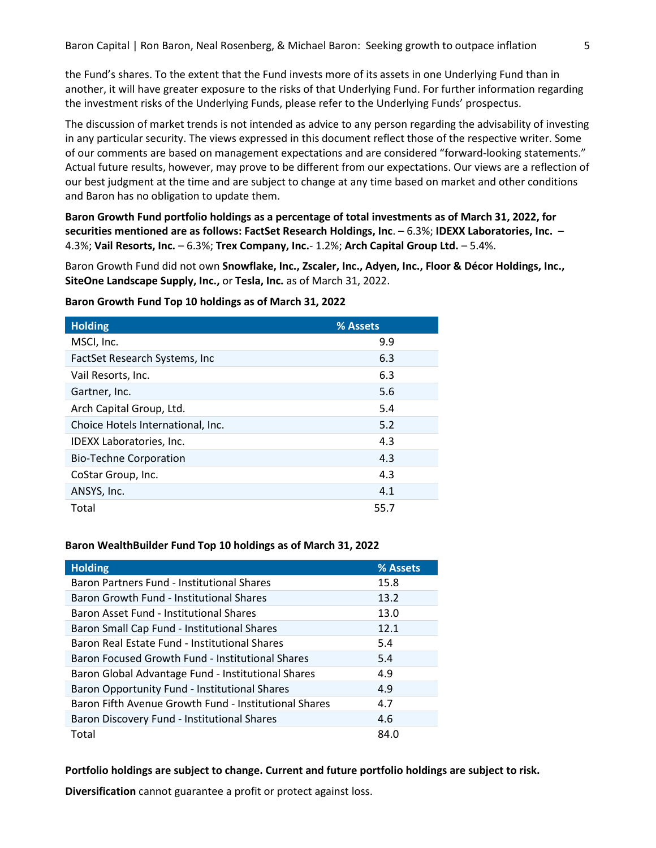the Fund's shares. To the extent that the Fund invests more of its assets in one Underlying Fund than in another, it will have greater exposure to the risks of that Underlying Fund. For further information regarding the investment risks of the Underlying Funds, please refer to the Underlying Funds' prospectus.

The discussion of market trends is not intended as advice to any person regarding the advisability of investing in any particular security. The views expressed in this document reflect those of the respective writer. Some of our comments are based on management expectations and are considered "forward-looking statements." Actual future results, however, may prove to be different from our expectations. Our views are a reflection of our best judgment at the time and are subject to change at any time based on market and other conditions and Baron has no obligation to update them.

**Baron Growth Fund portfolio holdings as a percentage of total investments as of March 31, 2022, for securities mentioned are as follows: FactSet Research Holdings, Inc**. – 6.3%; **IDEXX Laboratories, Inc.** – 4.3%; **Vail Resorts, Inc.** – 6.3%; **Trex Company, Inc.**- 1.2%; **Arch Capital Group Ltd.** – 5.4%.

Baron Growth Fund did not own **Snowflake, Inc., Zscaler, Inc., Adyen, Inc., Floor & Décor Holdings, Inc., SiteOne Landscape Supply, Inc.,** or **Tesla, Inc.** as of March 31, 2022.

| <b>Holding</b>                    | % Assets |
|-----------------------------------|----------|
| MSCI, Inc.                        | 9.9      |
| FactSet Research Systems, Inc.    | 6.3      |
| Vail Resorts, Inc.                | 6.3      |
| Gartner, Inc.                     | 5.6      |
| Arch Capital Group, Ltd.          | 5.4      |
| Choice Hotels International, Inc. | 5.2      |
| <b>IDEXX Laboratories, Inc.</b>   | 4.3      |
| <b>Bio-Techne Corporation</b>     | 4.3      |
| CoStar Group, Inc.                | 4.3      |
| ANSYS, Inc.                       | 4.1      |
| Total                             | 55.7     |

### **Baron Growth Fund Top 10 holdings as of March 31, 2022**

#### **Baron WealthBuilder Fund Top 10 holdings as of March 31, 2022**

| <b>Holding</b>                                        | % Assets |
|-------------------------------------------------------|----------|
| Baron Partners Fund - Institutional Shares            | 15.8     |
| Baron Growth Fund - Institutional Shares              | 13.2     |
| Baron Asset Fund - Institutional Shares               | 13.0     |
| Baron Small Cap Fund - Institutional Shares           | 12.1     |
| Baron Real Estate Fund - Institutional Shares         | 5.4      |
| Baron Focused Growth Fund - Institutional Shares      | 5.4      |
| Baron Global Advantage Fund - Institutional Shares    | 4.9      |
| Baron Opportunity Fund - Institutional Shares         | 4.9      |
| Baron Fifth Avenue Growth Fund - Institutional Shares | 4.7      |
| Baron Discovery Fund - Institutional Shares           | 4.6      |
| Total                                                 | 84.0     |

**Portfolio holdings are subject to change. Current and future portfolio holdings are subject to risk.**

**Diversification** cannot guarantee a profit or protect against loss.